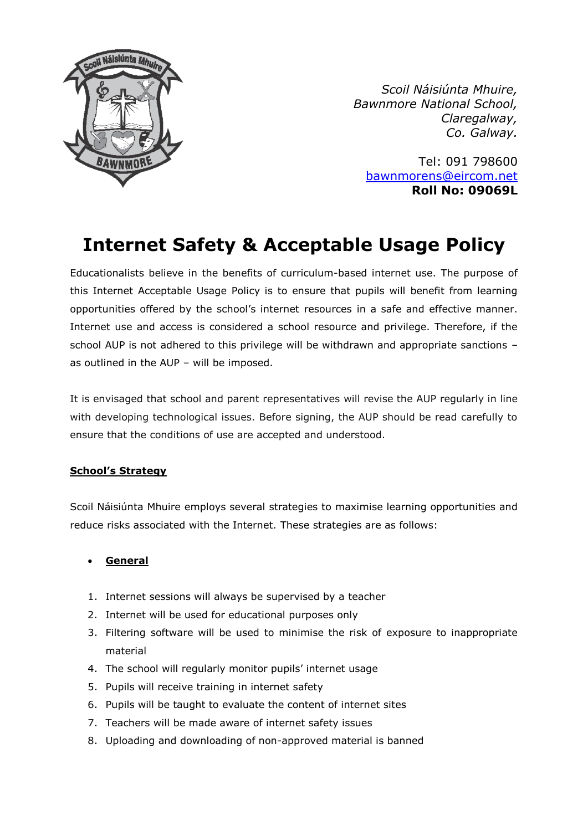

*Scoil Náisiúnta Mhuire, Bawnmore National School, Claregalway, Co. Galway.*

Tel: 091 798600 [bawnmorens@eircom.net](mailto:bawnmorens@eircom.net) **Roll No: 09069L**

# **Internet Safety & Acceptable Usage Policy**

Educationalists believe in the benefits of curriculum-based internet use. The purpose of this Internet Acceptable Usage Policy is to ensure that pupils will benefit from learning opportunities offered by the school's internet resources in a safe and effective manner. Internet use and access is considered a school resource and privilege. Therefore, if the school AUP is not adhered to this privilege will be withdrawn and appropriate sanctions as outlined in the AUP – will be imposed.

It is envisaged that school and parent representatives will revise the AUP regularly in line with developing technological issues. Before signing, the AUP should be read carefully to ensure that the conditions of use are accepted and understood.

## **School's Strategy**

Scoil Náisiúnta Mhuire employs several strategies to maximise learning opportunities and reduce risks associated with the Internet. These strategies are as follows:

## • **General**

- 1. Internet sessions will always be supervised by a teacher
- 2. Internet will be used for educational purposes only
- 3. Filtering software will be used to minimise the risk of exposure to inappropriate material
- 4. The school will regularly monitor pupils' internet usage
- 5. Pupils will receive training in internet safety
- 6. Pupils will be taught to evaluate the content of internet sites
- 7. Teachers will be made aware of internet safety issues
- 8. Uploading and downloading of non-approved material is banned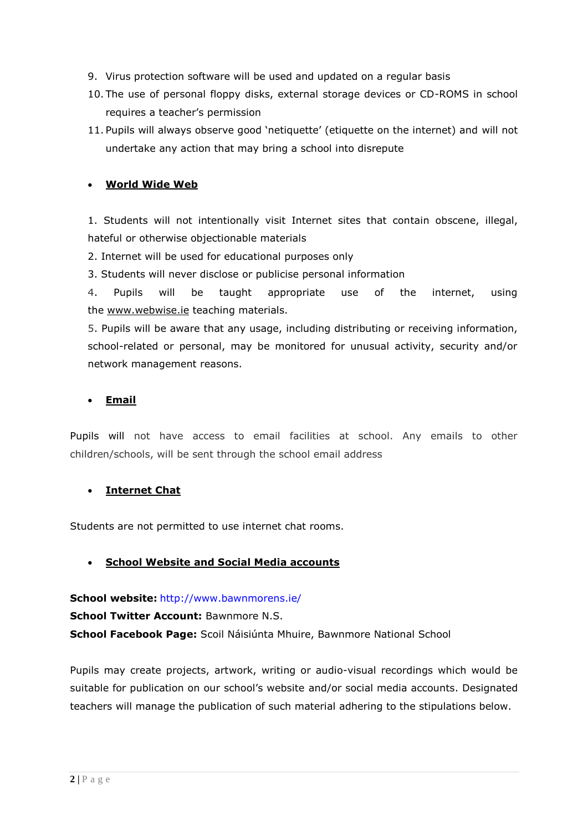- 9. Virus protection software will be used and updated on a regular basis
- 10. The use of personal floppy disks, external storage devices or CD-ROMS in school requires a teacher's permission
- 11. Pupils will always observe good 'netiquette' (etiquette on the internet) and will not undertake any action that may bring a school into disrepute

## • **World Wide Web**

1. Students will not intentionally visit Internet sites that contain obscene, illegal, hateful or otherwise objectionable materials

2. Internet will be used for educational purposes only

3. Students will never disclose or publicise personal information

4. Pupils will be taught appropriate use of the internet, using the [www.webwise.ie](http://www.webwise.ie/) teaching materials.

5. Pupils will be aware that any usage, including distributing or receiving information, school-related or personal, may be monitored for unusual activity, security and/or network management reasons.

#### • **Email**

Pupils will not have access to email facilities at school. Any emails to other children/schools, will be sent through the school email address

#### • **Internet Chat**

Students are not permitted to use internet chat rooms.

#### • **School Website and Social Media accounts**

**School website:** <http://www.bawnmorens.ie/>

**School Twitter Account:** Bawnmore N.S.

**School Facebook Page:** Scoil Náisiúnta Mhuire, Bawnmore National School

Pupils may create projects, artwork, writing or audio-visual recordings which would be suitable for publication on our school's website and/or social media accounts. Designated teachers will manage the publication of such material adhering to the stipulations below.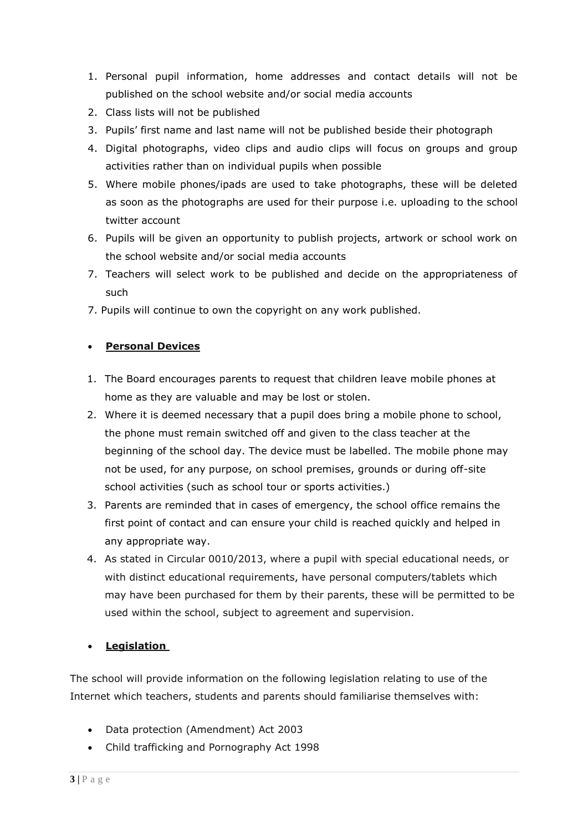- 1. Personal pupil information, home addresses and contact details will not be published on the school website and/or social media accounts
- 2. Class lists will not be published
- 3. Pupils' first name and last name will not be published beside their photograph
- 4. Digital photographs, video clips and audio clips will focus on groups and group activities rather than on individual pupils when possible
- 5. Where mobile phones/ipads are used to take photographs, these will be deleted as soon as the photographs are used for their purpose i.e. uploading to the school twitter account
- 6. Pupils will be given an opportunity to publish projects, artwork or school work on the school website and/or social media accounts
- 7. Teachers will select work to be published and decide on the appropriateness of such
- 7. Pupils will continue to own the copyright on any work published.

### • **Personal Devices**

- 1. The Board encourages parents to request that children leave mobile phones at home as they are valuable and may be lost or stolen.
- 2. Where it is deemed necessary that a pupil does bring a mobile phone to school, the phone must remain switched off and given to the class teacher at the beginning of the school day. The device must be labelled. The mobile phone may not be used, for any purpose, on school premises, grounds or during off-site school activities (such as school tour or sports activities.)
- 3. Parents are reminded that in cases of emergency, the school office remains the first point of contact and can ensure your child is reached quickly and helped in any appropriate way.
- 4. As stated in Circular 0010/2013, where a pupil with special educational needs, or with distinct educational requirements, have personal computers/tablets which may have been purchased for them by their parents, these will be permitted to be used within the school, subject to agreement and supervision.

## • **Legislation**

The school will provide information on the following legislation relating to use of the Internet which teachers, students and parents should familiarise themselves with:

- Data protection (Amendment) Act 2003
- Child trafficking and Pornography Act 1998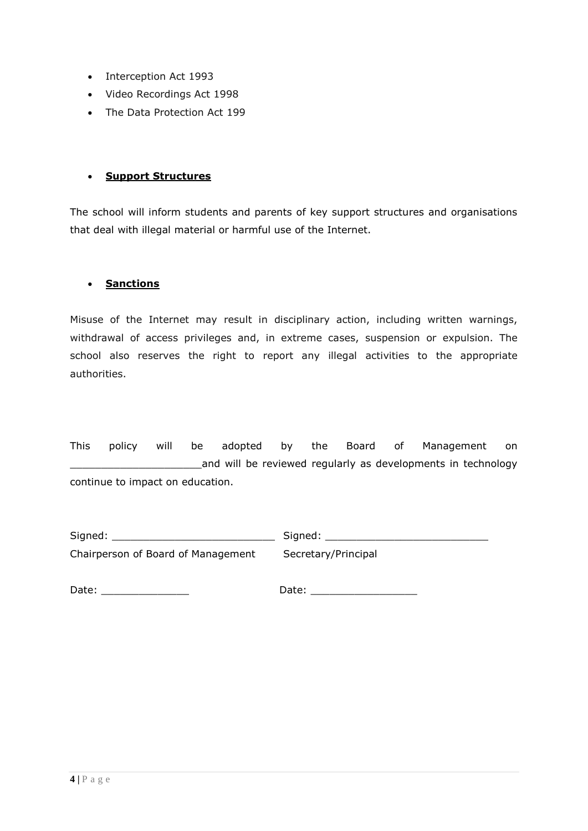- Interception Act 1993
- Video Recordings Act 1998
- The Data Protection Act 199

#### • **Support Structures**

The school will inform students and parents of key support structures and organisations that deal with illegal material or harmful use of the Internet.

### • **Sanctions**

Misuse of the Internet may result in disciplinary action, including written warnings, withdrawal of access privileges and, in extreme cases, suspension or expulsion. The school also reserves the right to report any illegal activities to the appropriate authorities.

This policy will be adopted by the Board of Management on \_\_\_\_\_\_\_\_\_\_\_\_\_\_\_\_\_\_\_\_\_and will be reviewed regularly as developments in technology continue to impact on education.

Signed: \_\_\_\_\_\_\_\_\_\_\_\_\_\_\_\_\_\_\_\_\_\_\_\_\_\_ Signed: \_\_\_\_\_\_\_\_\_\_\_\_\_\_\_\_\_\_\_\_\_\_\_\_\_\_ Chairperson of Board of Management Secretary/Principal

Date: \_\_\_\_\_\_\_\_\_\_\_\_\_\_ Date: \_\_\_\_\_\_\_\_\_\_\_\_\_\_\_\_\_